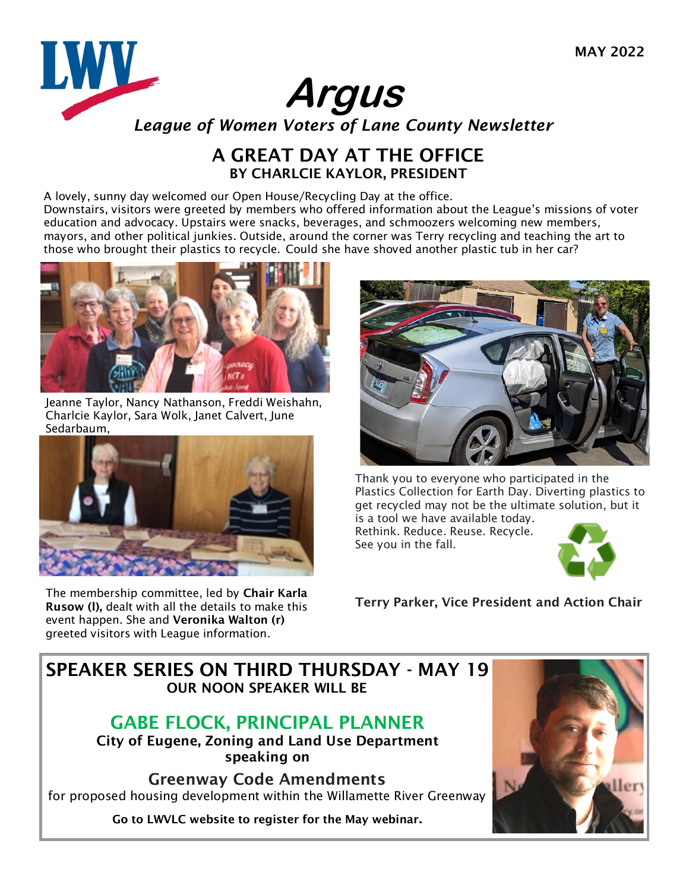

## A GREAT DAY AT THE OFFICE BY CHARLCIE KAYLOR, PRESIDENT

A lovely, sunny day welcomed our Open House/Recycling Day at the office. Downstairs, visitors were greeted by members who offered information about the League's missions of voter education and advocacy. Upstairs were snacks, beverages, and schmoozers welcoming new members, mayors, and other political junkies. Outside, around the corner was Terry recycling and teaching the art to those who brought their plastics to recycle. Could she have shoved another plastic tub in her car?



Jeanne Taylor, Nancy Nathanson, Freddi Weishahn, Charlcie Kaylor, Sara Wolk, Janet Calvert, June Sedarbaum,



The membership committee, led by Chair Karla Rusow (l), dealt with all the details to make this event happen. She and Veronika Walton (r) greeted visitors with League information.



Thank you to everyone who participated in the Plastics Collection for Earth Day. Diverting plastics to get recycled may not be the ultimate solution, but it is a tool we have available today.

Rethink. Reduce. Reuse. Recycle. See you in the fall.



Terry Parker, Vice President and Action Chair

## SPEAKER SERIES ON THIRD THURSDAY - MAY 19 OUR NOON SP[EA](https://www.eugene-or.gov/Directory.aspx?DID=169)KER WILL BE

# [GABE FLOCK, PRINCIPAL PLANNER](https://www.eugene-or.gov/Directory.aspx?DID=169)

[City of Eugene, Zoning and Land Use](https://www.eugene-or.gov/Directory.aspx?DID=169) Department speaking on

Greenway Code Amendments for proposed housing development within the Willamette River Greenway

Go to LWVLC website to register for the May webinar.

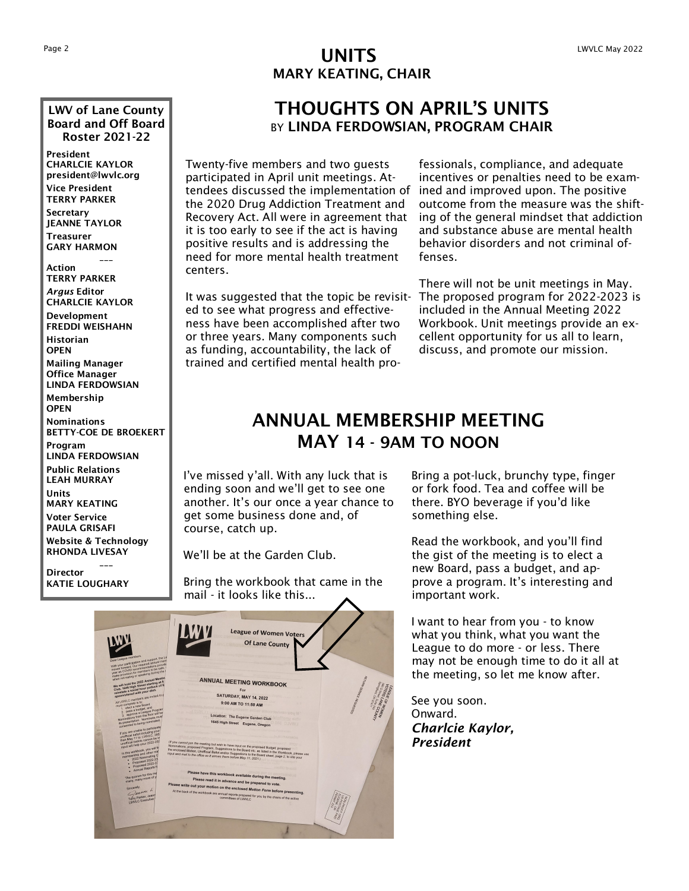### LWV of Lane County Board and Off Board Roster 2021-22

President CHARLCIE KAYLOR president@lwvlc.org Vice President TERRY PARKER

Secretary JEANNE TAYLOR Treasurer GARY HARMON

Action TERRY PARKER *Argus* Editor CHARLCIE KAYLOR

\_\_\_

Development FREDDI WEISHAHN Historian

**OPEN** Mailing Manager Office Manager

LINDA FERDOWSIAN Membership

**OPEN** 

Nominations BETTY-COE DE BROEKERT

Program LINDA FERDOWSIAN Public Relations LEAH MURRAY Units

MARY KEATING Voter Service

PAULA GRISAFI Website & Technology RHONDA LIVESAY

\_\_\_ **Director** KATIE LOUGHARY

## Page 2  $UNITS$ MARY KEATING, CHAIR

## THOUGHTS ON APRIL'S UNITS BY LINDA FERDOWSIAN, PROGRAM CHAIR

Twenty-five members and two guests participated in April unit meetings. Attendees discussed the implementation of the 2020 Drug Addiction Treatment and Recovery Act. All were in agreement that it is too early to see if the act is having positive results and is addressing the need for more mental health treatment centers.

It was suggested that the topic be revisited to see what progress and effectiveness have been accomplished after two or three years. Many components such as funding, accountability, the lack of trained and certified mental health pro-

fessionals, compliance, and adequate incentives or penalties need to be examined and improved upon. The positive outcome from the measure was the shifting of the general mindset that addiction and substance abuse are mental health behavior disorders and not criminal offenses.

There will not be unit meetings in May. The proposed program for 2022-2023 is included in the Annual Meeting 2022 Workbook. Unit meetings provide an excellent opportunity for us all to learn, discuss, and promote our mission.

## ANNUAL MEMBERSHIP MEETING MAY 14 - 9AM TO NOON

I've missed y'all. With any luck that is ending soon and we'll get to see one another. It's our once a year chance to get some business done and, of course, catch up.

We'll be at the Garden Club.

Bring the workbook that came in the mail - it looks like this...



Bring a pot-luck, brunchy type, finger or fork food. Tea and coffee will be there. BYO beverage if you'd like something else.

Read the workbook, and you'll find the gist of the meeting is to elect a new Board, pass a budget, and approve a program. It's interesting and important work.

I want to hear from you - to know what you think, what you want the League to do more - or less. There may not be enough time to do it all at the meeting, so let me know after.

See you soon. Onward. *Charlcie Kaylor, President*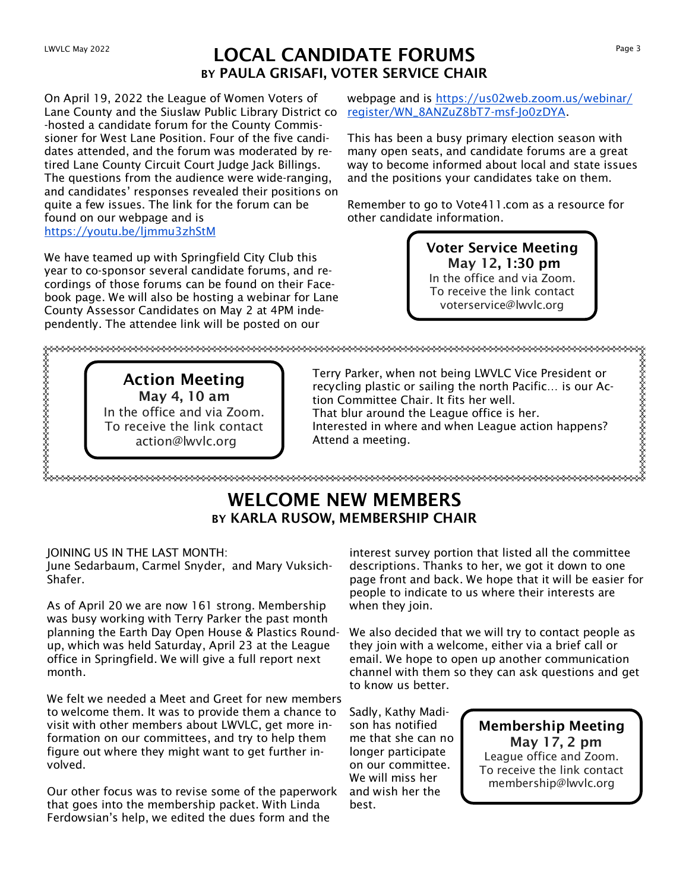## LOCAL CANDIDATE FORUMS BY PAULA GRISAFI, VOTER SERVICE CHAIR

On April 19, 2022 the League of Women Voters of Lane County and the Siuslaw Public Library District co register/WN\_8ANZuZ8bT7-msf-Jo0zDYA. -hosted a candidate forum for the County Commissioner for West Lane Position. Four of the five candidates attended, and the forum was moderated by retired Lane County Circuit Court Judge Jack Billings. The questions from the audience were wide-ranging, and candidates' responses revealed their positions on quite a few issues. The link for the forum can be found on our webpage and is https://youtu.be/ljmmu3zhStM

We have teamed up with Springfield City Club this year to co-sponsor several candidate forums, and recordings of those forums can be found on their Facebook page. We will also be hosting a webinar for Lane County Assessor Candidates on May 2 at 4PM independently. The attendee link will be posted on our

webpage and is https://us02web.zoom.us/webinar/

This has been a busy primary election season with many open seats, and candidate forums are a great way to become informed about local and state issues and the positions your candidates take on them.

Remember to go to Vote411.com as a resource for other candidate information.

> Voter Service Meeting May 12, 1:30 pm In the office and via Zoom. To receive the link contact voterservice@lwvlc.org

Action Meeting May 4, 10 am In the office and via Zoom. To receive the link contact action@lwvlc.org Terry Parker, when not being LWVLC Vice President or recycling plastic or sailing the north Pacific… is our Action Committee Chair. It fits her well. That blur around the League office is her. Interested in where and when League action happens? Attend a meeting.

## WELCOME NEW MEMBERS BY KARLA RUSOW, MEMBERSHIP CHAIR

### JOINING US IN THE LAST MONTH:

June Sedarbaum, Carmel Snyder, and Mary Vuksich-Shafer.

As of April 20 we are now 161 strong. Membership was busy working with Terry Parker the past month planning the Earth Day Open House & Plastics Roundup, which was held Saturday, April 23 at the League office in Springfield. We will give a full report next month.

We felt we needed a Meet and Greet for new members to welcome them. It was to provide them a chance to visit with other members about LWVLC, get more information on our committees, and try to help them figure out where they might want to get further involved.

Our other focus was to revise some of the paperwork that goes into the membership packet. With Linda Ferdowsian's help, we edited the dues form and the

interest survey portion that listed all the committee descriptions. Thanks to her, we got it down to one page front and back. We hope that it will be easier for people to indicate to us where their interests are when they join.

We also decided that we will try to contact people as they join with a welcome, either via a brief call or email. We hope to open up another communication channel with them so they can ask questions and get to know us better.

Sadly, Kathy Madison has notified me that she can no longer participate on our committee. We will miss her and wish her the best.

Membership Meeting May 17, 2 pm League office and Zoom. To receive the link contact membership@lwvlc.org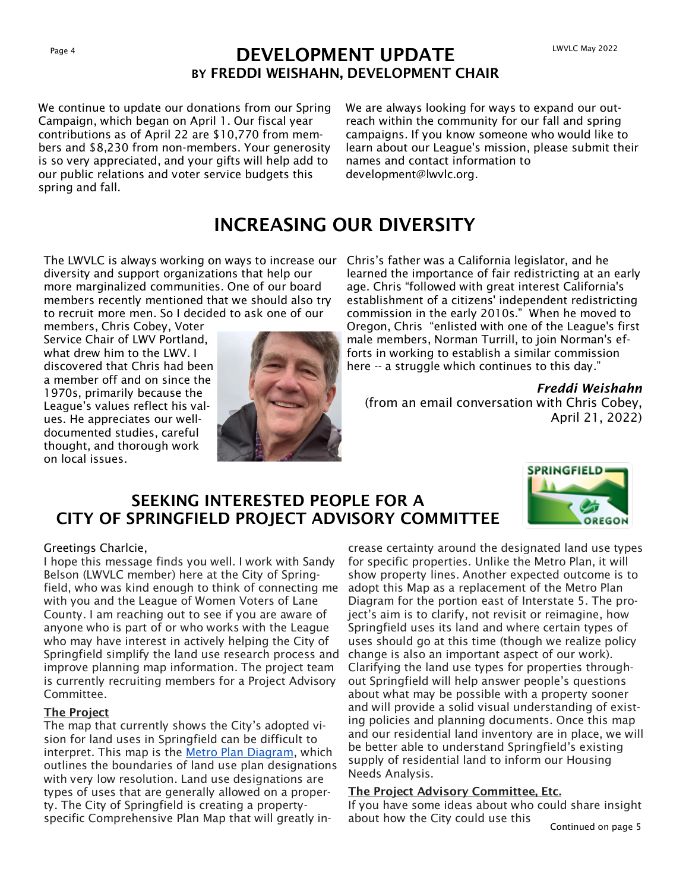## Page 4 LWVLC May 2022<br> **DEVELOPMENT UPDATE** BY FREDDI WEISHAHN, DEVELOPMENT CHAIR

We continue to update our donations from our Spring Campaign, which began on April 1. Our fiscal year contributions as of April 22 are \$10,770 from members and \$8,230 from non-members. Your generosity is so very appreciated, and your gifts will help add to our public relations and voter service budgets this spring and fall.

We are always looking for ways to expand our outreach within the community for our fall and spring campaigns. If you know someone who would like to learn about our League's mission, please submit their names and contact information to development@lwvlc.org.

## INCREASING OUR DIVERSITY

The LWVLC is always working on ways to increase our Chris's father was a California legislator, and he diversity and support organizations that help our more marginalized communities. One of our board members recently mentioned that we should also try to recruit more men. So I decided to ask one of our

members, Chris Cobey, Voter Service Chair of LWV Portland, what drew him to the LWV. I discovered that Chris had been a member off and on since the 1970s, primarily because the League's values reflect his values. He appreciates our welldocumented studies, careful thought, and thorough work on local issues.



learned the importance of fair redistricting at an early age. Chris "followed with great interest California's establishment of a citizens' independent redistricting commission in the early 2010s." When he moved to Oregon, Chris "enlisted with one of the League's first male members, Norman Turrill, to join Norman's efforts in working to establish a similar commission here -- a struggle which continues to this day."

*Freddi Weishahn*  (from an email conversation with Chris Cobey, April 21, 2022)

### SEEKING INTERESTED PEOPLE FOR A CITY OF SPRINGFIELD PROJECT ADVISORY COMMITTEE



### Greetings Charlcie,

I hope this message finds you well. I work with Sandy Belson (LWVLC member) here at the City of Springfield, who was kind enough to think of connecting me with you and the League of Women Voters of Lane County. I am reaching out to see if you are aware of anyone who is part of or who works with the League who may have interest in actively helping the City of Springfield simplify the land use research process and improve planning map information. The project team is currently recruiting members for a Project Advisory Committee.

### The Project

The map that currently shows the City's adopted vision for land uses in Springfield can be difficult to interpret. This map is the [Metro Plan Diagram,](https://www.springfield-or.gov/wp-content/uploads/2016/12/2004-Plan-Diagram-w-disclainer.pdf) which outlines the boundaries of land use plan designations with very low resolution. Land use designations are types of uses that are generally allowed on a property. The City of Springfield is creating a propertyspecific Comprehensive Plan Map that will greatly in-

crease certainty around the designated land use types for specific properties. Unlike the Metro Plan, it will show property lines. Another expected outcome is to adopt this Map as a replacement of the Metro Plan Diagram for the portion east of Interstate 5. The project's aim is to clarify, not revisit or reimagine, how Springfield uses its land and where certain types of uses should go at this time (though we realize policy change is also an important aspect of our work). Clarifying the land use types for properties throughout Springfield will help answer people's questions about what may be possible with a property sooner and will provide a solid visual understanding of existing policies and planning documents. Once this map and our residential land inventory are in place, we will be better able to understand Springfield's existing supply of residential land to inform our Housing Needs Analysis.

### The Project Advisory Committee, Etc.

If you have some ideas about who could share insight about how the City could use this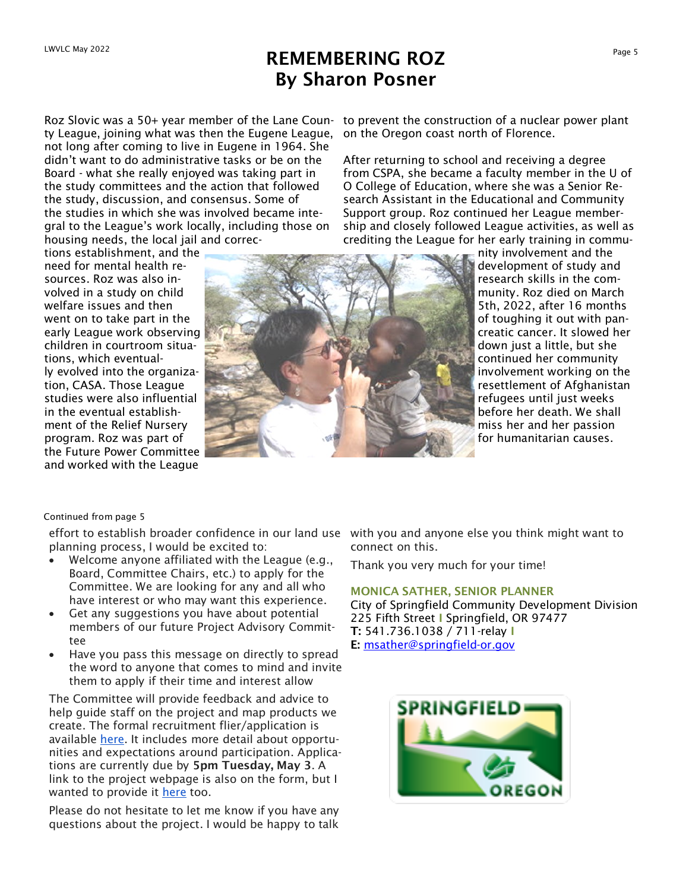## REMEMBERING ROZ By Sharon Posner

ty League, joining what was then the Eugene League, on the Oregon coast north of Florence. not long after coming to live in Eugene in 1964. She didn't want to do administrative tasks or be on the Board - what she really enjoyed was taking part in the study committees and the action that followed the study, discussion, and consensus. Some of the studies in which she was involved became integral to the League's work locally, including those on housing needs, the local jail and correc-

tions establishment, and the need for mental health resources. Roz was also involved in a study on child welfare issues and then went on to take part in the early League work observing children in courtroom situations, which eventually evolved into the organization, CASA. Those League studies were also influential in the eventual establishment of the Relief Nursery program. Roz was part of the Future Power Committee and worked with the League

Roz Slovic was a 50+ year member of the Lane Coun-to prevent the construction of a nuclear power plant

After returning to school and receiving a degree from CSPA, she became a faculty member in the U of O College of Education, where she was a Senior Research Assistant in the Educational and Community Support group. Roz continued her League membership and closely followed League activities, as well as crediting the League for her early training in commu-



nity involvement and the development of study and research skills in the community. Roz died on March 5th, 2022, after 16 months of toughing it out with pancreatic cancer. It slowed her down just a little, but she continued her community involvement working on the resettlement of Afghanistan refugees until just weeks before her death. We shall miss her and her passion for humanitarian causes.

#### Continued from page 5

effort to establish broader confidence in our land use with you and anyone else you think might want to planning process, I would be excited to:

- Welcome anyone affiliated with the League (e.g., Board, Committee Chairs, etc.) to apply for the Committee. We are looking for any and all who have interest or who may want this experience.
- Get any suggestions you have about potential members of our future Project Advisory Committee
- Have you pass this message on directly to spread the word to anyone that comes to mind and invite them to apply if their time and interest allow

The Committee will provide feedback and advice to help guide staff on the project and map products we create. The formal recruitment flier/application is available [here.](https://springfield-or.gov/wp-content/uploads/2022/04/Springfield-Comp-Map-PAC-Recruitmet-Flier-Application.pdf) It includes more detail about opportunities and expectations around participation. Applications are currently due by 5pm Tuesday, May 3. A link to the project webpage is also on the form, but I wanted to provide it [here](https://springfield-or.gov/compmap/) too.

Please do not hesitate to let me know if you have any questions about the project. I would be happy to talk connect on this.

Thank you very much for your time!

### MONICA SATHER, SENIOR PLANNER

City of Springfield Community Development Division 225 Fifth Street I Springfield, OR 97477 T: 541.736.1038 / 711-relay I E: [msather@springfield-or.gov](mailto:msather@springfield-or.gov)